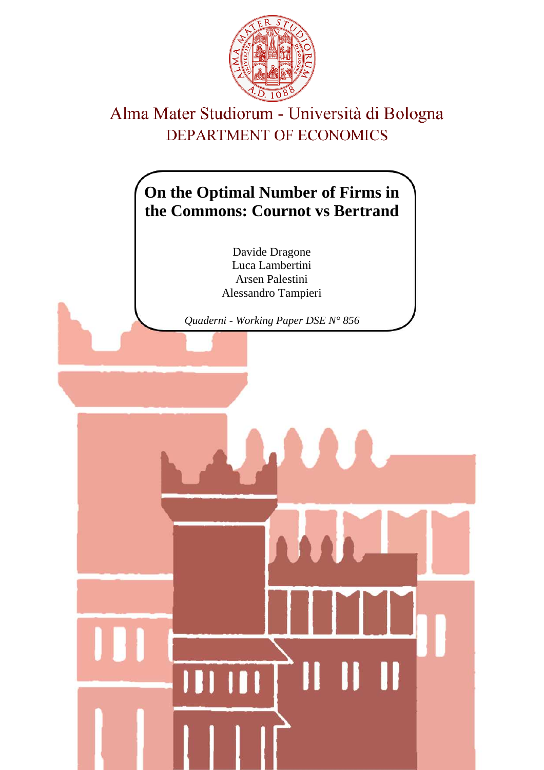

# Alma Mater Studiorum - Università di Bologna DEPARTMENT OF ECONOMICS

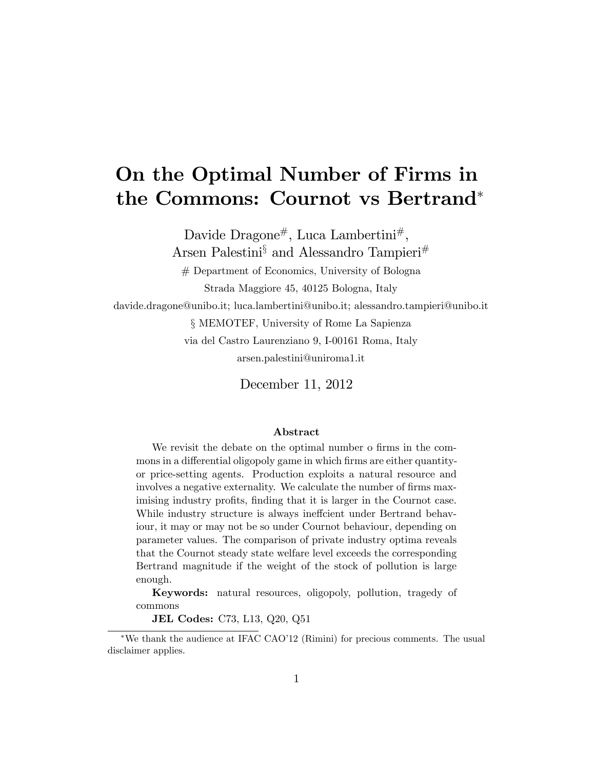# On the Optimal Number of Firms in the Commons: Cournot vs Bertrand

Davide Dragone<sup>#</sup>, Luca Lambertini<sup>#</sup>,

Arsen Palestini<sup>§</sup> and Alessandro Tampieri<sup>#</sup>

# Department of Economics, University of Bologna Strada Maggiore 45, 40125 Bologna, Italy

davide.dragone@unibo.it; luca.lambertini@unibo.it; alessandro.tampieri@unibo.it

ß MEMOTEF, University of Rome La Sapienza

via del Castro Laurenziano 9, I-00161 Roma, Italy arsen.palestini@uniroma1.it

December 11, 2012

#### Abstract

We revisit the debate on the optimal number o firms in the commons in a differential oligopoly game in which firms are either quantityor price-setting agents. Production exploits a natural resource and involves a negative externality. We calculate the number of firms maximising industry profits, finding that it is larger in the Cournot case. While industry structure is always ineffcient under Bertrand behaviour, it may or may not be so under Cournot behaviour, depending on parameter values. The comparison of private industry optima reveals that the Cournot steady state welfare level exceeds the corresponding Bertrand magnitude if the weight of the stock of pollution is large enough.

Keywords: natural resources, oligopoly, pollution, tragedy of commons

JEL Codes: C73, L13, Q20, Q51

<sup>\*</sup>We thank the audience at IFAC CAO<sup>'</sup>12 (Rimini) for precious comments. The usual disclaimer applies.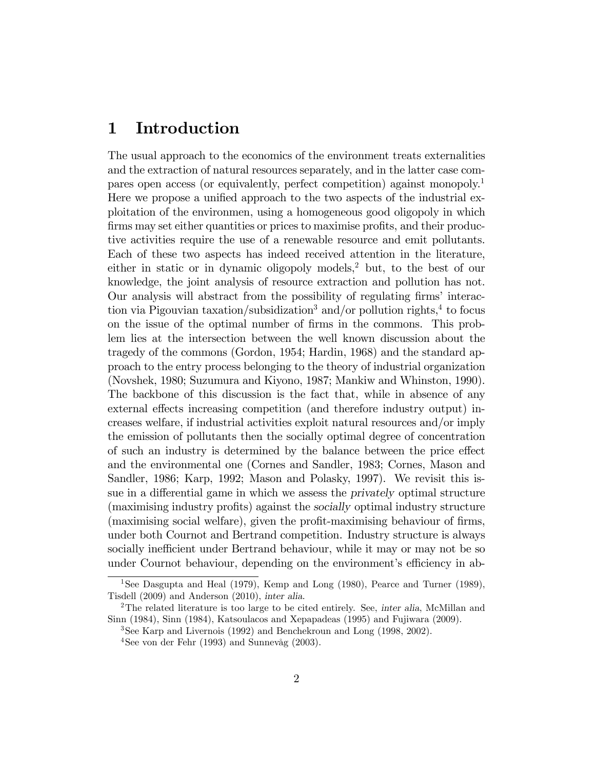### 1 Introduction

The usual approach to the economics of the environment treats externalities and the extraction of natural resources separately, and in the latter case compares open access (or equivalently, perfect competition) against monopoly.<sup>1</sup> Here we propose a unified approach to the two aspects of the industrial exploitation of the environmen, using a homogeneous good oligopoly in which firms may set either quantities or prices to maximise profits, and their productive activities require the use of a renewable resource and emit pollutants. Each of these two aspects has indeed received attention in the literature, either in static or in dynamic oligopoly models,<sup>2</sup> but, to the best of our knowledge, the joint analysis of resource extraction and pollution has not. Our analysis will abstract from the possibility of regulating firms' interaction via Pigouvian taxation/subsidization<sup>3</sup> and/or pollution rights,<sup>4</sup> to focus on the issue of the optimal number of firms in the commons. This problem lies at the intersection between the well known discussion about the tragedy of the commons (Gordon, 1954; Hardin, 1968) and the standard approach to the entry process belonging to the theory of industrial organization (Novshek, 1980; Suzumura and Kiyono, 1987; Mankiw and Whinston, 1990). The backbone of this discussion is the fact that, while in absence of any external effects increasing competition (and therefore industry output) increases welfare, if industrial activities exploit natural resources and/or imply the emission of pollutants then the socially optimal degree of concentration of such an industry is determined by the balance between the price effect and the environmental one (Cornes and Sandler, 1983; Cornes, Mason and Sandler, 1986; Karp, 1992; Mason and Polasky, 1997). We revisit this issue in a differential game in which we assess the *privately* optimal structure (maximising industry profits) against the *socially* optimal industry structure (maximising social welfare), given the profit-maximising behaviour of firms, under both Cournot and Bertrand competition. Industry structure is always socially inefficient under Bertrand behaviour, while it may or may not be so under Cournot behaviour, depending on the environment's efficiency in ab-

<sup>&</sup>lt;sup>1</sup>See Dasgupta and Heal (1979), Kemp and Long (1980), Pearce and Turner (1989), Tisdell (2009) and Anderson (2010), inter alia.

<sup>&</sup>lt;sup>2</sup>The related literature is too large to be cited entirely. See, inter alia, McMillan and Sinn (1984), Sinn (1984), Katsoulacos and Xepapadeas (1995) and Fujiwara (2009).

<sup>3</sup>See Karp and Livernois (1992) and Benchekroun and Long (1998, 2002).

 $4$ See von der Fehr (1993) and Sunnevåg (2003).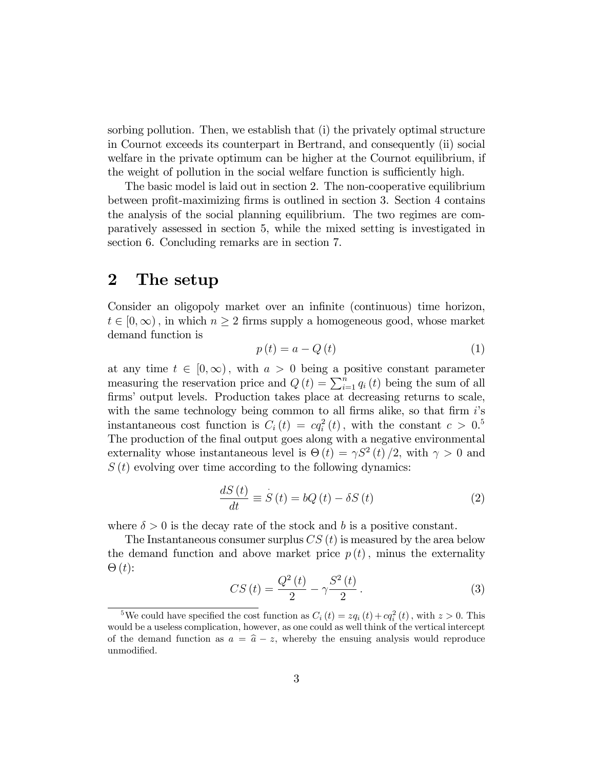sorbing pollution. Then, we establish that (i) the privately optimal structure in Cournot exceeds its counterpart in Bertrand, and consequently (ii) social welfare in the private optimum can be higher at the Cournot equilibrium, if the weight of pollution in the social welfare function is sufficiently high.

The basic model is laid out in section 2. The non-cooperative equilibrium between profit-maximizing firms is outlined in section 3. Section 4 contains the analysis of the social planning equilibrium. The two regimes are comparatively assessed in section 5, while the mixed setting is investigated in section 6. Concluding remarks are in section 7.

## 2 The setup

Consider an oligopoly market over an infinite (continuous) time horizon,  $t \in [0,\infty)$ , in which  $n \geq 2$  firms supply a homogeneous good, whose market demand function is

$$
p(t) = a - Q(t)
$$
\n<sup>(1)</sup>

at any time  $t \in [0, \infty)$ , with  $a > 0$  being a positive constant parameter measuring the reservation price and  $Q(t) = \sum_{i=1}^{n} q_i(t)$  being the sum of all firms' output levels. Production takes place at decreasing returns to scale, with the same technology being common to all firms alike, so that firm  $i$ 's instantaneous cost function is  $C_i(t) = cq_i^2(t)$ , with the constant  $c > 0.5$ The production of the final output goes along with a negative environmental externality whose instantaneous level is  $\Theta(t) = \gamma S^2(t)/2$ , with  $\gamma > 0$  and  $S(t)$  evolving over time according to the following dynamics:

$$
\frac{dS(t)}{dt} \equiv \dot{S}(t) = bQ(t) - \delta S(t)
$$
\n(2)

where  $\delta > 0$  is the decay rate of the stock and b is a positive constant.

The Instantaneous consumer surplus  $CS(t)$  is measured by the area below the demand function and above market price  $p(t)$ , minus the externality  $\Theta(t)$ :

$$
CS(t) = \frac{Q^2(t)}{2} - \gamma \frac{S^2(t)}{2}.
$$
 (3)

<sup>&</sup>lt;sup>5</sup>We could have specified the cost function as  $C_i(t) = zq_i(t) + cq_i^2(t)$ , with  $z > 0$ . This would be a useless complication, however, as one could as well think of the vertical intercept of the demand function as  $a = \hat{a} - z$ , whereby the ensuing analysis would reproduce unmodified.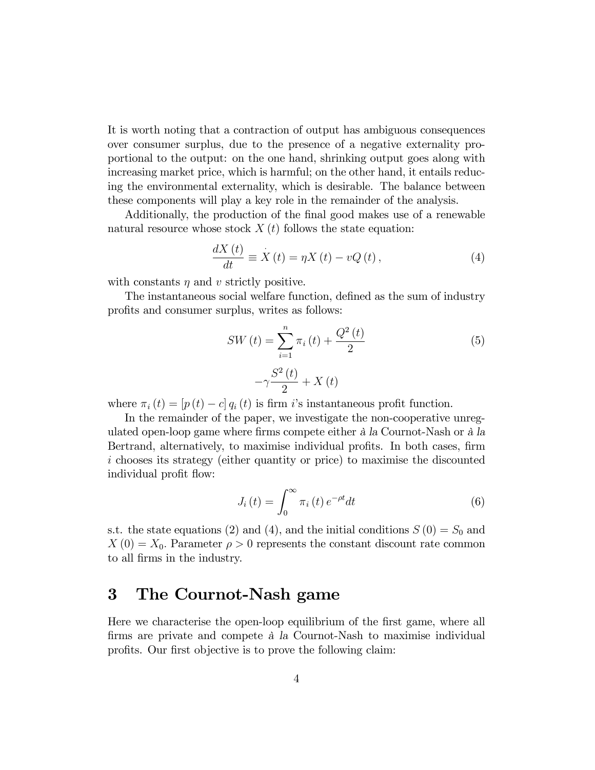It is worth noting that a contraction of output has ambiguous consequences over consumer surplus, due to the presence of a negative externality proportional to the output: on the one hand, shrinking output goes along with increasing market price, which is harmful; on the other hand, it entails reducing the environmental externality, which is desirable. The balance between these components will play a key role in the remainder of the analysis.

Additionally, the production of the final good makes use of a renewable natural resource whose stock  $X(t)$  follows the state equation:

$$
\frac{dX(t)}{dt} \equiv \dot{X}(t) = \eta X(t) - vQ(t),\tag{4}
$$

with constants  $\eta$  and  $\upsilon$  strictly positive.

The instantaneous social welfare function, defined as the sum of industry profits and consumer surplus, writes as follows:

$$
SW(t) = \sum_{i=1}^{n} \pi_i(t) + \frac{Q^2(t)}{2}
$$
\n
$$
-\gamma \frac{S^2(t)}{2} + X(t)
$$
\n(5)

where  $\pi_i (t) = [p (t) - c] q_i (t)$  is firm i's instantaneous profit function.

In the remainder of the paper, we investigate the non-cooperative unregulated open-loop game where firms compete either à la Cournot-Nash or à la Bertrand, alternatively, to maximise individual profits. In both cases, firm i chooses its strategy (either quantity or price) to maximise the discounted individual profit flow:

$$
J_i(t) = \int_0^\infty \pi_i(t) e^{-\rho t} dt \tag{6}
$$

s.t. the state equations (2) and (4), and the initial conditions  $S(0) = S_0$  and  $X(0) = X_0$ . Parameter  $\rho > 0$  represents the constant discount rate common to all Örms in the industry.

### 3 The Cournot-Nash game

Here we characterise the open-loop equilibrium of the first game, where all firms are private and compete  $\hat{a}$  la Cournot-Nash to maximise individual profits. Our first objective is to prove the following claim: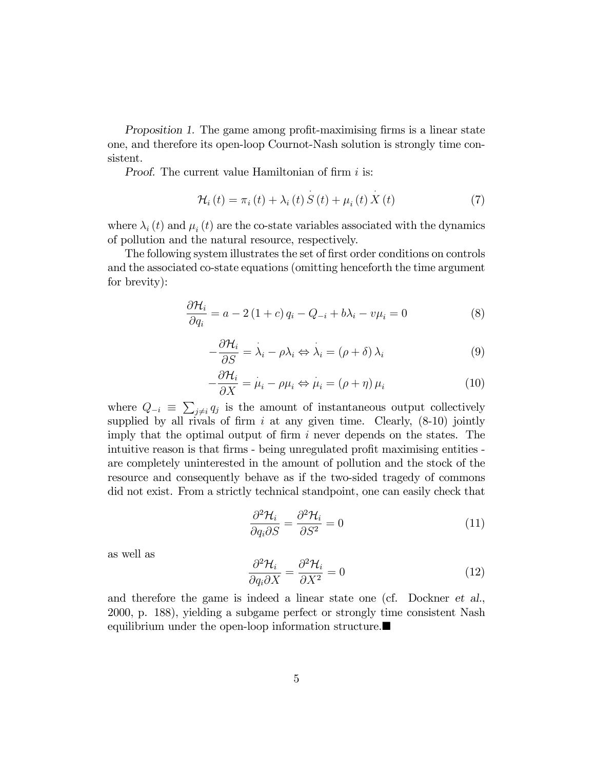Proposition 1. The game among profit-maximising firms is a linear state one, and therefore its open-loop Cournot-Nash solution is strongly time consistent.

Proof. The current value Hamiltonian of firm  $i$  is:

$$
\mathcal{H}_{i}\left(t\right) = \pi_{i}\left(t\right) + \lambda_{i}\left(t\right)S\left(t\right) + \mu_{i}\left(t\right)X\left(t\right) \tag{7}
$$

where  $\lambda_i(t)$  and  $\mu_i(t)$  are the co-state variables associated with the dynamics of pollution and the natural resource, respectively.

The following system illustrates the set of first order conditions on controls and the associated co-state equations (omitting henceforth the time argument for brevity):

$$
\frac{\partial \mathcal{H}_i}{\partial q_i} = a - 2(1+c)q_i - Q_{-i} + b\lambda_i - v\mu_i = 0
$$
\n(8)

$$
-\frac{\partial \mathcal{H}_i}{\partial S} = \lambda_i - \rho \lambda_i \Leftrightarrow \lambda_i = (\rho + \delta) \lambda_i \tag{9}
$$

$$
-\frac{\partial \mathcal{H}_i}{\partial X} = \mu_i - \rho \mu_i \Leftrightarrow \mu_i = (\rho + \eta) \mu_i \tag{10}
$$

where  $Q_{-i} \equiv \sum_{j \neq i} q_j$  is the amount of instantaneous output collectively supplied by all rivals of firm i at any given time. Clearly,  $(8-10)$  jointly imply that the optimal output of firm  $i$  never depends on the states. The intuitive reason is that firms - being unregulated profit maximising entities are completely uninterested in the amount of pollution and the stock of the resource and consequently behave as if the two-sided tragedy of commons did not exist. From a strictly technical standpoint, one can easily check that

$$
\frac{\partial^2 \mathcal{H}_i}{\partial q_i \partial S} = \frac{\partial^2 \mathcal{H}_i}{\partial S^2} = 0
$$
\n(11)

as well as

$$
\frac{\partial^2 \mathcal{H}_i}{\partial q_i \partial X} = \frac{\partial^2 \mathcal{H}_i}{\partial X^2} = 0
$$
\n(12)

and therefore the game is indeed a linear state one (cf. Dockner et al., 2000, p. 188), yielding a subgame perfect or strongly time consistent Nash equilibrium under the open-loop information structure.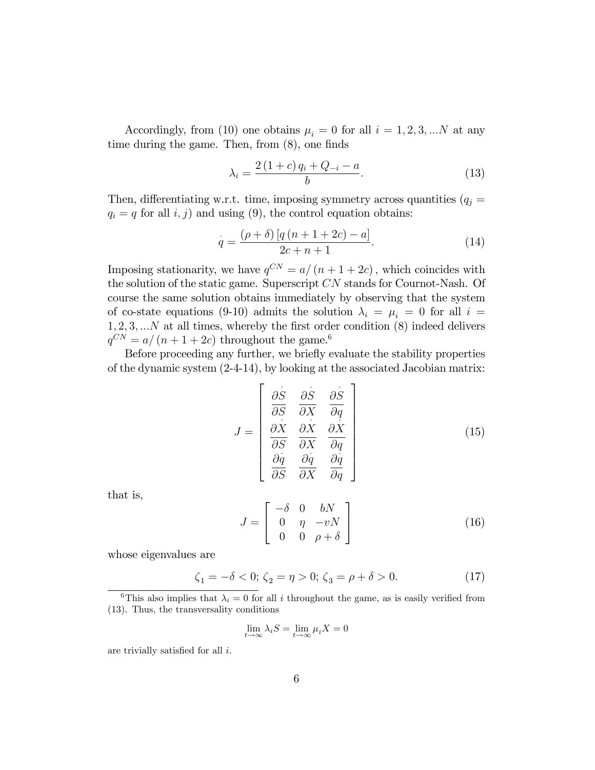Accordingly, from (10) one obtains  $\mu_i = 0$  for all  $i = 1, 2, 3, ...N$  at any time during the game. Then, from  $(8)$ , one finds

$$
\lambda_i = \frac{2(1+c) \, q_i + Q_{-i} - a}{b}.\tag{13}
$$

Then, differentiating w.r.t. time, imposing symmetry across quantities  $(q_j =$  $q_i = q$  for all  $i, j$  and using (9), the control equation obtains:

$$
\dot{q} = \frac{(\rho + \delta) [q (n + 1 + 2c) - a]}{2c + n + 1}.
$$
\n(14)

Imposing stationarity, we have  $q^{CN} = a/(n + 1 + 2c)$ , which coincides with the solution of the static game. Superscript CN stands for Cournot-Nash. Of course the same solution obtains immediately by observing that the system of co-state equations (9-10) admits the solution  $\lambda_i = \mu_i = 0$  for all  $i =$  $1, 2, 3, \ldots N$  at all times, whereby the first order condition  $(8)$  indeed delivers  $q^{CN} = a/(n + 1 + 2c)$  throughout the game.<sup>6</sup>

Before proceeding any further, we briefly evaluate the stability properties of the dynamic system (2-4-14), by looking at the associated Jacobian matrix:

$$
J = \begin{bmatrix} \frac{\partial S}{\partial S} & \frac{\partial S}{\partial X} & \frac{\partial S}{\partial q} \\ \frac{\partial X}{\partial S} & \frac{\partial X}{\partial X} & \frac{\partial X}{\partial q} \\ \frac{\partial q}{\partial S} & \frac{\partial q}{\partial X} & \frac{\partial q}{\partial q} \end{bmatrix}
$$
(15)

 $\overline{a}$ 

that is,

$$
J = \begin{bmatrix} -\delta & 0 & bN \\ 0 & \eta & -vN \\ 0 & 0 & \rho + \delta \end{bmatrix}
$$
 (16)

whose eigenvalues are

$$
\zeta_1 = -\delta < 0; \ \zeta_2 = \eta > 0; \ \zeta_3 = \rho + \delta > 0. \tag{17}
$$

$$
\lim_{t \to \infty} \lambda_i S = \lim_{t \to \infty} \mu_i X = 0
$$

are trivially satisfied for all  $i$ .

<sup>&</sup>lt;sup>6</sup>This also implies that  $\lambda_i = 0$  for all i throughout the game, as is easily verified from (13). Thus, the transversality conditions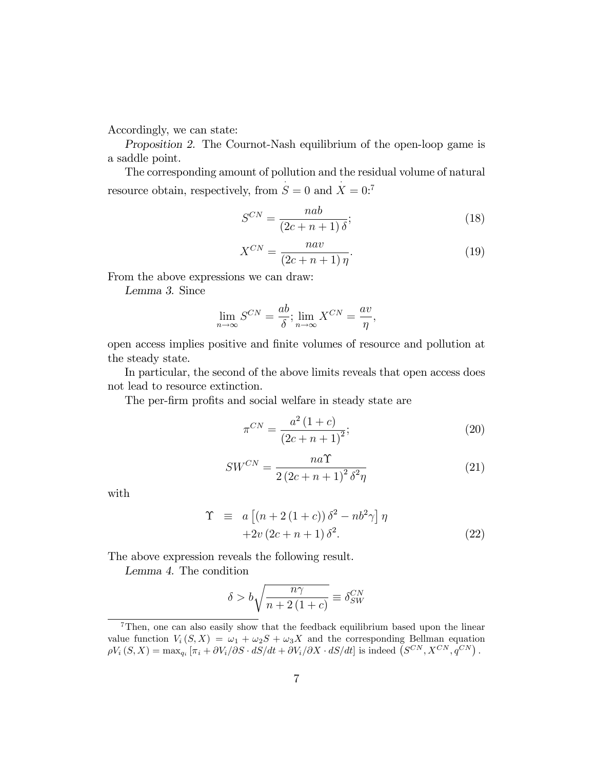Accordingly, we can state:

Proposition 2. The Cournot-Nash equilibrium of the open-loop game is a saddle point.

The corresponding amount of pollution and the residual volume of natural resource obtain, respectively, from  $S = 0$  and  $X = 0$ :<sup>7</sup>

$$
S^{CN} = \frac{nab}{(2c+n+1)\delta};\tag{18}
$$

$$
X^{CN} = \frac{nav}{(2c+n+1)\eta}.\tag{19}
$$

From the above expressions we can draw:

Lemma 3. Since

$$
\lim_{n \to \infty} S^{CN} = \frac{ab}{\delta}; \lim_{n \to \infty} X^{CN} = \frac{av}{\eta},
$$

open access implies positive and Önite volumes of resource and pollution at the steady state.

In particular, the second of the above limits reveals that open access does not lead to resource extinction.

The per-firm profits and social welfare in steady state are

$$
\pi^{CN} = \frac{a^2 (1+c)}{(2c+n+1)^2};\tag{20}
$$

$$
SW^{CN} = \frac{na\Upsilon}{2\left(2c + n + 1\right)^2 \delta^2 \eta} \tag{21}
$$

with

$$
\begin{aligned}\n\Upsilon &= a \left[ \left( n + 2 \left( 1 + c \right) \right) \delta^2 - n b^2 \gamma \right] \eta \\
&\quad + 2v \left( 2c + n + 1 \right) \delta^2.\n\end{aligned} \tag{22}
$$

The above expression reveals the following result.

Lemma 4. The condition

$$
\delta > b \sqrt{\frac{n\gamma}{n+2\left(1+c\right)}} \equiv \delta_{SW}^{CN}
$$

<sup>&</sup>lt;sup>7</sup>Then, one can also easily show that the feedback equilibrium based upon the linear value function  $V_i(S, X) = \omega_1 + \omega_2 S + \omega_3 X$  and the corresponding Bellman equation  $\rho V_i(S, X) = \max_{q_i} \left[ \pi_i + \frac{\partial V_i}{\partial S} \cdot dS/dt + \frac{\partial V_i}{\partial X} \cdot dS/dt \right]$  is indeed  $(S^{CN}, X^{CN}, q^{CN})$ .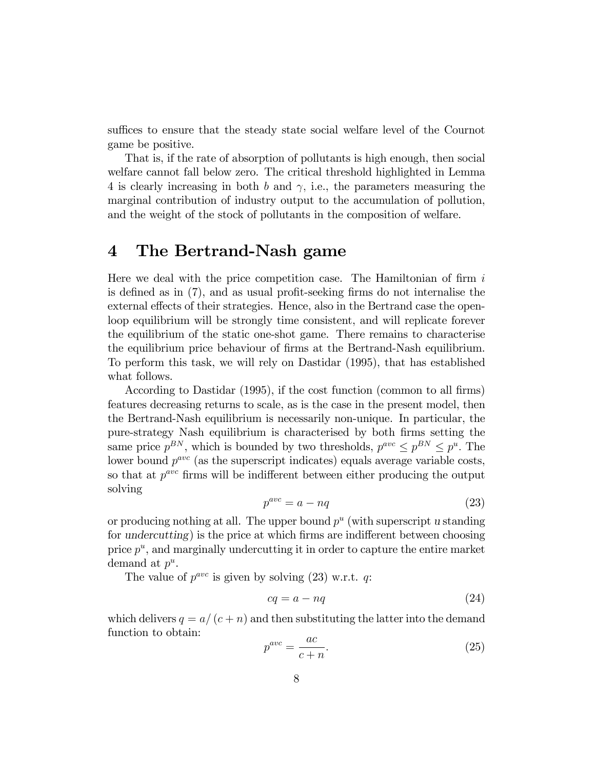suffices to ensure that the steady state social welfare level of the Cournot game be positive.

That is, if the rate of absorption of pollutants is high enough, then social welfare cannot fall below zero. The critical threshold highlighted in Lemma 4 is clearly increasing in both b and  $\gamma$ , i.e., the parameters measuring the marginal contribution of industry output to the accumulation of pollution, and the weight of the stock of pollutants in the composition of welfare.

#### 4 The Bertrand-Nash game

Here we deal with the price competition case. The Hamiltonian of firm  $i$ is defined as in  $(7)$ , and as usual profit-seeking firms do not internalise the external effects of their strategies. Hence, also in the Bertrand case the openloop equilibrium will be strongly time consistent, and will replicate forever the equilibrium of the static one-shot game. There remains to characterise the equilibrium price behaviour of firms at the Bertrand-Nash equilibrium. To perform this task, we will rely on Dastidar (1995), that has established what follows.

According to Dastidar (1995), if the cost function (common to all firms) features decreasing returns to scale, as is the case in the present model, then the Bertrand-Nash equilibrium is necessarily non-unique. In particular, the pure-strategy Nash equilibrium is characterised by both Örms setting the same price  $p^{BN}$ , which is bounded by two thresholds,  $p^{ave} \leq p^{BN} \leq p^u$ . The lower bound  $p^{ave}$  (as the superscript indicates) equals average variable costs, so that at  $p^{ave}$  firms will be indifferent between either producing the output solving

$$
p^{ave} = a - nq \tag{23}
$$

or producing nothing at all. The upper bound  $p^u$  (with superscript u standing for undercutting) is the price at which firms are indifferent between choosing price  $p^u$ , and marginally undercutting it in order to capture the entire market demand at  $p^u$ .

The value of  $p^{ave}$  is given by solving (23) w.r.t. q:

$$
cq = a - nq \tag{24}
$$

which delivers  $q = a/(c + n)$  and then substituting the latter into the demand function to obtain:

$$
p^{ave} = \frac{ac}{c+n}.\tag{25}
$$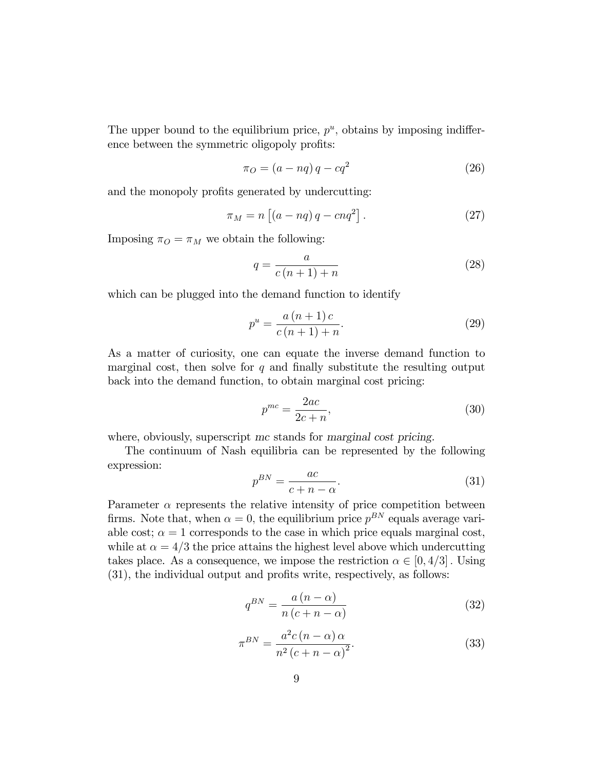The upper bound to the equilibrium price,  $p^u$ , obtains by imposing indifference between the symmetric oligopoly profits:

$$
\pi_O = (a - nq)q - cq^2 \tag{26}
$$

and the monopoly profits generated by undercutting:

$$
\pi_M = n \left[ \left( a - nq \right) q - c n q^2 \right]. \tag{27}
$$

Imposing  $\pi_O = \pi_M$  we obtain the following:

$$
q = \frac{a}{c(n+1) + n} \tag{28}
$$

which can be plugged into the demand function to identify

$$
p^{u} = \frac{a(n+1)c}{c(n+1)+n}.
$$
 (29)

As a matter of curiosity, one can equate the inverse demand function to marginal cost, then solve for  $q$  and finally substitute the resulting output back into the demand function, to obtain marginal cost pricing:

$$
p^{mc} = \frac{2ac}{2c + n},\tag{30}
$$

where, obviously, superscript mc stands for marginal cost pricing.

The continuum of Nash equilibria can be represented by the following expression:

$$
p^{BN} = \frac{ac}{c + n - \alpha}.\tag{31}
$$

Parameter  $\alpha$  represents the relative intensity of price competition between firms. Note that, when  $\alpha = 0$ , the equilibrium price  $p^{BN}$  equals average variable cost;  $\alpha = 1$  corresponds to the case in which price equals marginal cost, while at  $\alpha = 4/3$  the price attains the highest level above which undercutting takes place. As a consequence, we impose the restriction  $\alpha \in [0, 4/3]$ . Using  $(31)$ , the individual output and profits write, respectively, as follows:

$$
q^{BN} = \frac{a\left(n - \alpha\right)}{n\left(c + n - \alpha\right)}\tag{32}
$$

$$
\pi^{BN} = \frac{a^2c\left(n - \alpha\right)\alpha}{n^2\left(c + n - \alpha\right)^2}.\tag{33}
$$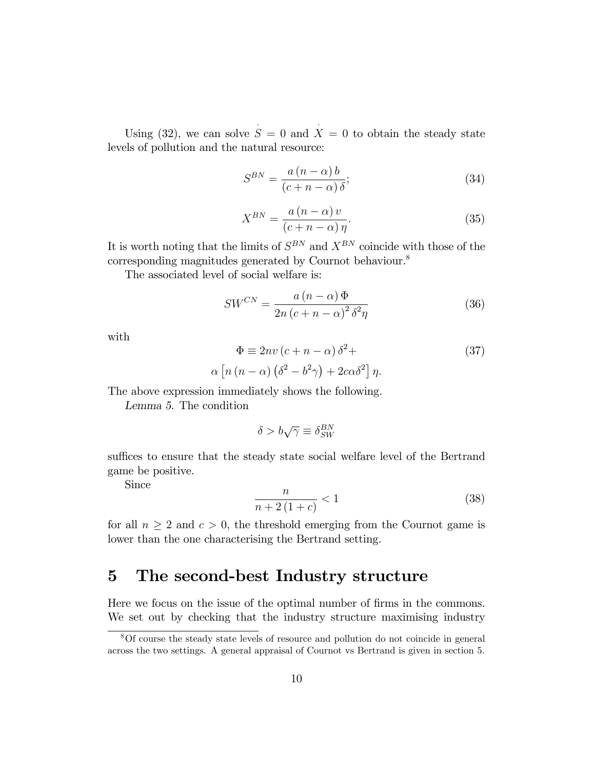Using (32), we can solve  $S = 0$  and  $\overline{X} = 0$  to obtain the steady state levels of pollution and the natural resource:

$$
S^{BN} = \frac{a\left(n-\alpha\right)b}{\left(c+n-\alpha\right)\delta};\tag{34}
$$

$$
X^{BN} = \frac{a\left(n-\alpha\right)v}{\left(c+n-\alpha\right)\eta}.\tag{35}
$$

It is worth noting that the limits of  $S^{BN}$  and  $X^{BN}$  coincide with those of the corresponding magnitudes generated by Cournot behaviour.<sup>8</sup>

The associated level of social welfare is:

$$
SW^{CN} = \frac{a\left(n-\alpha\right)\Phi}{2n\left(c+n-\alpha\right)^2\delta^2\eta} \tag{36}
$$

with

$$
\Phi \equiv 2nv (c + n - \alpha) \delta^{2} +
$$
  
\n
$$
\alpha \left[ n (n - \alpha) (\delta^{2} - b^{2} \gamma) + 2c \alpha \delta^{2} \right] \eta.
$$
\n(37)

The above expression immediately shows the following.

Lemma 5. The condition

$$
\delta > b\sqrt{\gamma} \equiv \delta_{SW}^{BN}
$$

suffices to ensure that the steady state social welfare level of the Bertrand game be positive.

Since

$$
\frac{n}{n+2(1+c)} < 1\tag{38}
$$

for all  $n \geq 2$  and  $c > 0$ , the threshold emerging from the Cournot game is lower than the one characterising the Bertrand setting.

### 5 The second-best Industry structure

Here we focus on the issue of the optimal number of firms in the commons. We set out by checking that the industry structure maximising industry

<sup>8</sup>Of course the steady state levels of resource and pollution do not coincide in general across the two settings. A general appraisal of Cournot vs Bertrand is given in section 5.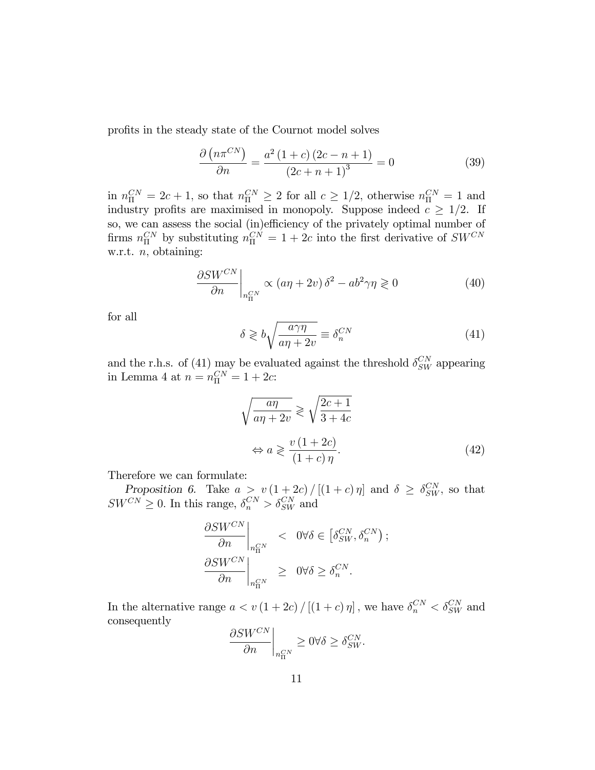profits in the steady state of the Cournot model solves

$$
\frac{\partial (n\pi^{CN})}{\partial n} = \frac{a^2 (1+c) (2c - n + 1)}{(2c + n + 1)^3} = 0
$$
\n(39)

 $\lim_{\Omega} n_{\Pi}^{CN} = 2c + 1$ , so that  $n_{\Pi}^{CN} \geq 2$  for all  $c \geq 1/2$ , otherwise  $n_{\Pi}^{CN} = 1$  and industry profits are maximised in monopoly. Suppose indeed  $c \geq 1/2$ . If so, we can assess the social (in)efficiency of the privately optimal number of firms  $n_{\Pi}^{CN}$  by substituting  $n_{\Pi}^{CN} = 1 + 2c$  into the first derivative of  $SW^{CN}$ w.r.t.  $n$ , obtaining:

$$
\left. \frac{\partial SW^{CN}}{\partial n} \right|_{n_{\Pi}^{CN}} \propto (a\eta + 2v) \,\delta^2 - ab^2 \gamma \eta \geq 0 \tag{40}
$$

for all

$$
\delta \geqslant b \sqrt{\frac{a\gamma\eta}{a\eta + 2v}} \equiv \delta_n^{CN} \tag{41}
$$

and the r.h.s. of (41) may be evaluated against the threshold  $\delta_{SW}^{CN}$  appearing in Lemma 4 at  $n = n_{\Pi}^{CN} = 1 + 2c$ :

$$
\sqrt{\frac{a\eta}{a\eta + 2v}} \geqslant \sqrt{\frac{2c+1}{3+4c}}
$$

$$
\Leftrightarrow a \geqslant \frac{v(1+2c)}{(1+c)\eta}.\tag{42}
$$

Therefore we can formulate:

Proposition 6. Take  $a > v(1+2c)/[(1+c)\eta]$  and  $\delta \geq \delta_{SW}^{CN}$ , so that  $SW^{CN} \geq 0$ . In this range,  $\delta_n^{CN} > \delta_{SW}^{CN}$  and

$$
\begin{aligned} \frac{\partial SW^{CN}}{\partial n} \bigg|_{n_{\Pi}^{CN}} & &< \ 0 \forall \delta \in \left[\delta_{SW}^{CN}, \delta_n^{CN}\right);\\ \frac{\partial SW^{CN}}{\partial n} \bigg|_{n_{\Pi}^{CN}} &\geq \ 0 \forall \delta \geq \delta_n^{CN}. \end{aligned}
$$

In the alternative range  $a < v(1+2c) / [(1+c) \eta]$ , we have  $\delta_n^{CN} < \delta_{SW}^{CN}$  and consequently

$$
\left.\frac{\partial SW^{CN}}{\partial n}\right|_{n_{\Pi}^{CN}}\geq 0 \forall \delta\geq \delta_{SW}^{CN}.
$$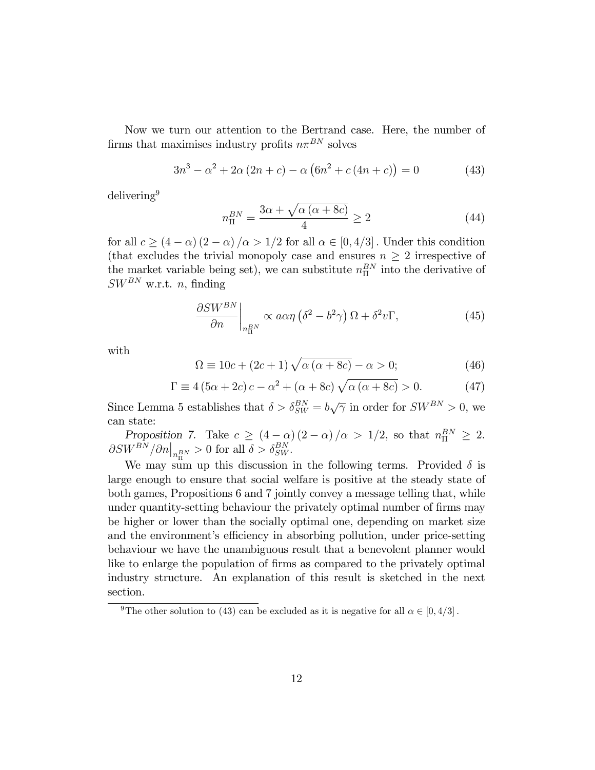Now we turn our attention to the Bertrand case. Here, the number of firms that maximises industry profits  $n\pi^{BN}$  solves

$$
3n^3 - \alpha^2 + 2\alpha(2n + c) - \alpha(6n^2 + c(4n + c)) = 0
$$
 (43)

delivering<sup>9</sup>

$$
n_{\rm II}^{BN} = \frac{3\alpha + \sqrt{\alpha \left(\alpha + 8c\right)}}{4} \ge 2\tag{44}
$$

for all  $c \ge (4 - \alpha) (2 - \alpha) / \alpha > 1/2$  for all  $\alpha \in [0, 4/3]$ . Under this condition (that excludes the trivial monopoly case and ensures  $n \geq 2$  irrespective of the market variable being set), we can substitute  $n_{\Pi}^{BN}$  into the derivative of  $SW^{BN}$  w.r.t. *n*, finding

$$
\frac{\partial SW^{BN}}{\partial n}\bigg|_{n_H^{BN}} \propto a\alpha\eta \left(\delta^2 - b^2\gamma\right)\Omega + \delta^2 v\Gamma,\tag{45}
$$

with

$$
\Omega \equiv 10c + (2c + 1)\sqrt{\alpha(\alpha + 8c)} - \alpha > 0; \tag{46}
$$

$$
\Gamma \equiv 4 (5\alpha + 2c) c - \alpha^2 + (\alpha + 8c) \sqrt{\alpha (\alpha + 8c)} > 0.
$$
 (47)

Since Lemma 5 establishes that  $\delta > \delta_{SW}^{BN} = b\sqrt{\gamma}$  in order for  $SW^{BN} > 0$ , we can state:

Proposition 7. Take  $c \ge (4 - \alpha)(2 - \alpha)/\alpha > 1/2$ , so that  $n_{\Pi}^{BN} \ge 2$ .  $\partial SW^{BN}/\partial n\big|_{n_{\text{II}}^{BN}} > 0$  for all  $\delta > \delta_{SW}^{BN}$ .

We may sum up this discussion in the following terms. Provided  $\delta$  is large enough to ensure that social welfare is positive at the steady state of both games, Propositions 6 and 7 jointly convey a message telling that, while under quantity-setting behaviour the privately optimal number of firms may be higher or lower than the socially optimal one, depending on market size and the environment's efficiency in absorbing pollution, under price-setting behaviour we have the unambiguous result that a benevolent planner would like to enlarge the population of firms as compared to the privately optimal industry structure. An explanation of this result is sketched in the next section.

<sup>&</sup>lt;sup>9</sup>The other solution to (43) can be excluded as it is negative for all  $\alpha \in [0, 4/3]$ .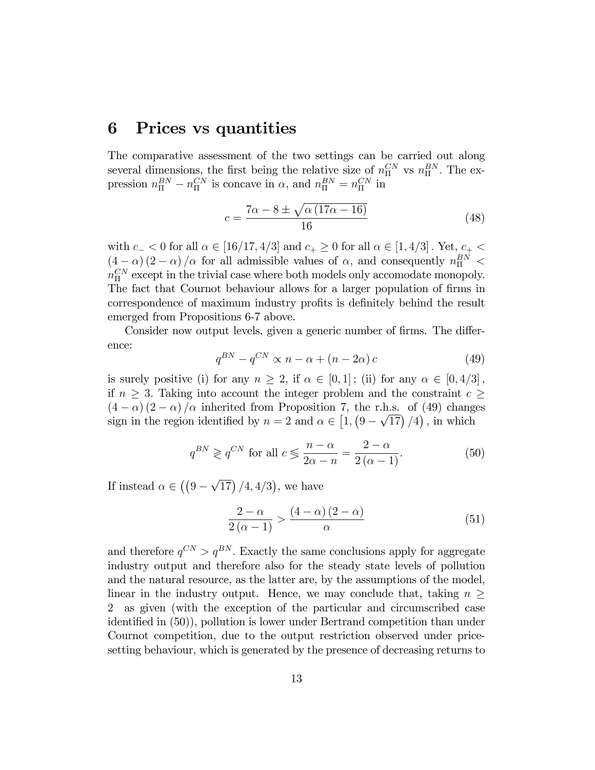### 6 Prices vs quantities

The comparative assessment of the two settings can be carried out along several dimensions, the first being the relative size of  $n_{\Pi}^{CN}$  vs  $n_{\Pi}^{BN}$ . The expression  $n_{\text{II}}^{BN} - n_{\text{II}}^{CN}$  is concave in  $\alpha$ , and  $n_{\text{II}}^{BN} = n_{\text{II}}^{CN}$  in

$$
c = \frac{7\alpha - 8 \pm \sqrt{\alpha (17\alpha - 16)}}{16} \tag{48}
$$

with  $c_- < 0$  for all  $\alpha \in [16/17, 4/3]$  and  $c_+ \geq 0$  for all  $\alpha \in [1, 4/3]$ . Yet,  $c_+ <$  $(4-\alpha)(2-\alpha)/\alpha$  for all admissible values of  $\alpha$ , and consequently  $n_{\rm H}^{BN}$  <  $n_{\Pi}^{CN}$  except in the trivial case where both models only accomodate monopoly. The fact that Cournot behaviour allows for a larger population of firms in correspondence of maximum industry profits is definitely behind the result emerged from Propositions 6-7 above.

Consider now output levels, given a generic number of firms. The difference:

$$
q^{BN} - q^{CN} \propto n - \alpha + (n - 2\alpha)c \tag{49}
$$

is surely positive (i) for any  $n \geq 2$ , if  $\alpha \in [0, 1]$ ; (ii) for any  $\alpha \in [0, 4/3]$ , if  $n \geq 3$ . Taking into account the integer problem and the constraint  $c \geq$  $(4 - \alpha) (2 - \alpha) / \alpha$  inherited from Proposition 7, the r.h.s. of (49) changes sign in the region identified by  $n = 2$  and  $\alpha \in [1, (9 - \sqrt{17})/4)$ , in which

$$
q^{BN} \geqslant q^{CN} \text{ for all } c \leqslant \frac{n-\alpha}{2\alpha - n} = \frac{2-\alpha}{2(\alpha - 1)}.
$$
 (50)

If instead  $\alpha \in ((9 - \sqrt{17}) / 4, 4/3)$ , we have

$$
\frac{2-\alpha}{2(\alpha-1)} > \frac{(4-\alpha)(2-\alpha)}{\alpha} \tag{51}
$$

and therefore  $q^{CN} > q^{BN}$ . Exactly the same conclusions apply for aggregate industry output and therefore also for the steady state levels of pollution and the natural resource, as the latter are, by the assumptions of the model, linear in the industry output. Hence, we may conclude that, taking  $n >$ 2 as given (with the exception of the particular and circumscribed case identified in  $(50)$ , pollution is lower under Bertrand competition than under Cournot competition, due to the output restriction observed under pricesetting behaviour, which is generated by the presence of decreasing returns to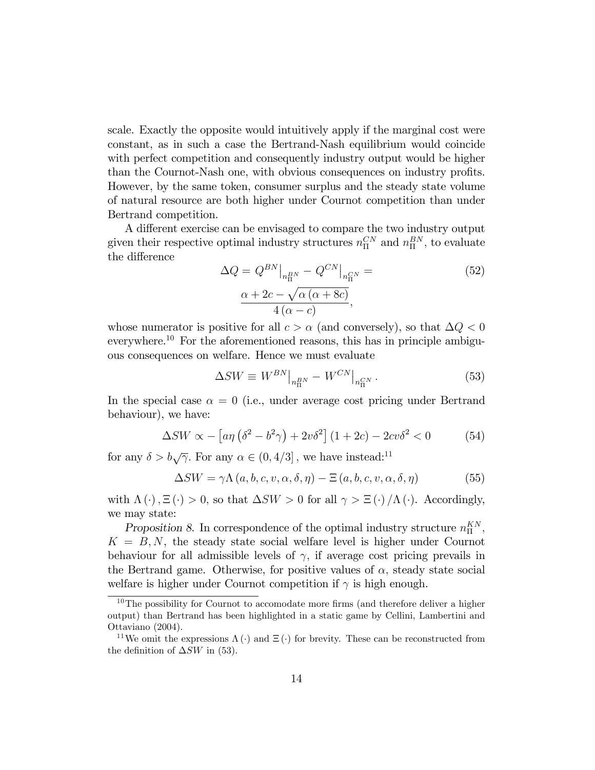scale. Exactly the opposite would intuitively apply if the marginal cost were constant, as in such a case the Bertrand-Nash equilibrium would coincide with perfect competition and consequently industry output would be higher than the Cournot-Nash one, with obvious consequences on industry profits. However, by the same token, consumer surplus and the steady state volume of natural resource are both higher under Cournot competition than under Bertrand competition.

A different exercise can be envisaged to compare the two industry output given their respective optimal industry structures  $n_{\Pi}^{CN}$  and  $n_{\Pi}^{BN}$ , to evaluate the difference

$$
\Delta Q = Q^{BN}|_{n_{\text{II}}^{BN}} - Q^{CN}|_{n_{\text{II}}^{CN}} =
$$
  

$$
\frac{\alpha + 2c - \sqrt{\alpha (\alpha + 8c)}}{4 (\alpha - c)},
$$
 (52)

whose numerator is positive for all  $c > \alpha$  (and conversely), so that  $\Delta Q < 0$ everywhere.<sup>10</sup> For the aforementioned reasons, this has in principle ambiguous consequences on welfare. Hence we must evaluate

$$
\Delta SW \equiv W^{BN}|_{n_{\Pi}^{BN}} - W^{CN}|_{n_{\Pi}^{CN}}.
$$
\n(53)

In the special case  $\alpha = 0$  (i.e., under average cost pricing under Bertrand behaviour), we have:

$$
\Delta SW \propto -\left[a\eta\left(\delta^2 - b^2\gamma\right) + 2v\delta^2\right]\left(1 + 2c\right) - 2cv\delta^2 < 0\tag{54}
$$

for any  $\delta > b\sqrt{\gamma}$ . For any  $\alpha \in (0, 4/3]$ , we have instead:<sup>11</sup>

$$
\Delta SW = \gamma \Lambda (a, b, c, v, \alpha, \delta, \eta) - \Xi (a, b, c, v, \alpha, \delta, \eta)
$$
 (55)

with  $\Lambda(\cdot), \Xi(\cdot) > 0$ , so that  $\Delta SW > 0$  for all  $\gamma > \Xi(\cdot)/\Lambda(\cdot)$ . Accordingly, we may state:

Proposition 8. In correspondence of the optimal industry structure  $n_{\Pi}^{KN}$ ,  $K = B, N$ , the steady state social welfare level is higher under Cournot behaviour for all admissible levels of  $\gamma$ , if average cost pricing prevails in the Bertrand game. Otherwise, for positive values of  $\alpha$ , steady state social welfare is higher under Cournot competition if  $\gamma$  is high enough.

 $10$ The possibility for Cournot to accomodate more firms (and therefore deliver a higher output) than Bertrand has been highlighted in a static game by Cellini, Lambertini and Ottaviano (2004).

<sup>&</sup>lt;sup>11</sup>We omit the expressions  $\Lambda(\cdot)$  and  $\Xi(\cdot)$  for brevity. These can be reconstructed from the definition of  $\Delta SW$  in (53).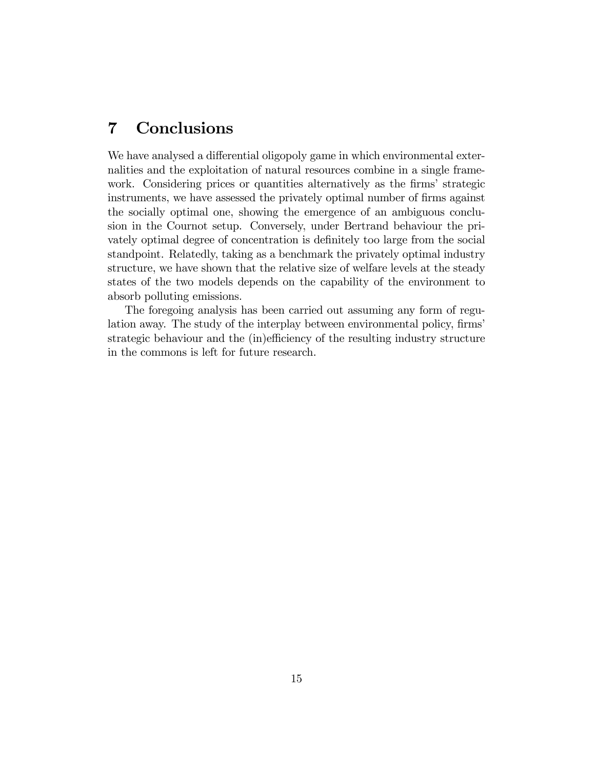## 7 Conclusions

We have analysed a differential oligopoly game in which environmental externalities and the exploitation of natural resources combine in a single framework. Considering prices or quantities alternatively as the firms' strategic instruments, we have assessed the privately optimal number of firms against the socially optimal one, showing the emergence of an ambiguous conclusion in the Cournot setup. Conversely, under Bertrand behaviour the privately optimal degree of concentration is definitely too large from the social standpoint. Relatedly, taking as a benchmark the privately optimal industry structure, we have shown that the relative size of welfare levels at the steady states of the two models depends on the capability of the environment to absorb polluting emissions.

The foregoing analysis has been carried out assuming any form of regulation away. The study of the interplay between environmental policy, firms' strategic behaviour and the (in)efficiency of the resulting industry structure in the commons is left for future research.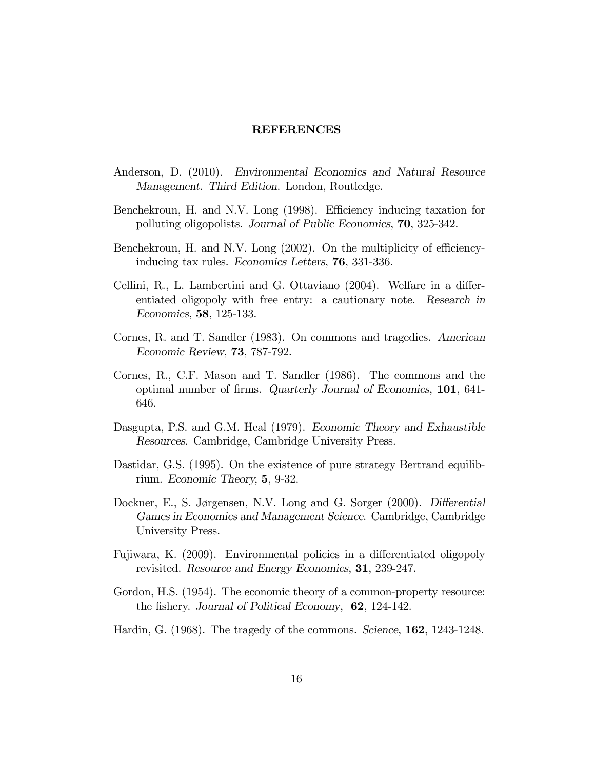#### REFERENCES

- Anderson, D. (2010). Environmental Economics and Natural Resource Management. Third Edition. London, Routledge.
- Benchekroun, H. and N.V. Long (1998). Efficiency inducing taxation for polluting oligopolists. Journal of Public Economics, 70, 325-342.
- Benchekroun, H. and N.V. Long  $(2002)$ . On the multiplicity of efficiencyinducing tax rules. Economics Letters, 76, 331-336.
- Cellini, R., L. Lambertini and G. Ottaviano  $(2004)$ . Welfare in a differentiated oligopoly with free entry: a cautionary note. Research in Economics, 58, 125-133.
- Cornes, R. and T. Sandler (1983). On commons and tragedies. American Economic Review, 73, 787-792.
- Cornes, R., C.F. Mason and T. Sandler (1986). The commons and the optimal number of Örms. Quarterly Journal of Economics, 101, 641- 646.
- Dasgupta, P.S. and G.M. Heal (1979). Economic Theory and Exhaustible Resources. Cambridge, Cambridge University Press.
- Dastidar, G.S. (1995). On the existence of pure strategy Bertrand equilibrium. Economic Theory, 5, 9-32.
- Dockner, E., S. Jørgensen, N.V. Long and G. Sorger (2000). Differential Games in Economics and Management Science. Cambridge, Cambridge University Press.
- Fujiwara, K. (2009). Environmental policies in a differentiated oligopoly revisited. Resource and Energy Economics, 31, 239-247.
- Gordon, H.S.  $(1954)$ . The economic theory of a common-property resource: the fishery. Journal of Political Economy, 62, 124-142.
- Hardin, G. (1968). The tragedy of the commons. Science, 162, 1243-1248.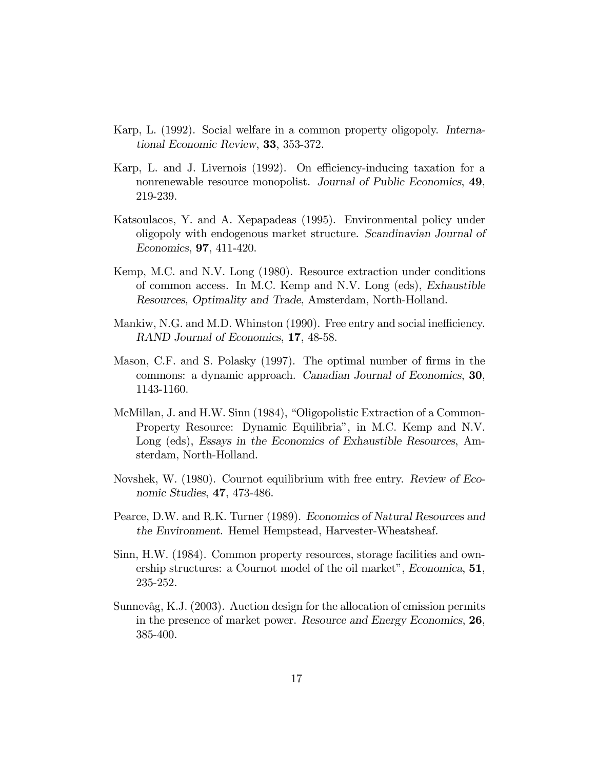- Karp, L. (1992). Social welfare in a common property oligopoly. International Economic Review, 33, 353-372.
- Karp, L. and J. Livernois  $(1992)$ . On efficiency-inducing taxation for a nonrenewable resource monopolist. Journal of Public Economics, 49, 219-239.
- Katsoulacos, Y. and A. Xepapadeas (1995). Environmental policy under oligopoly with endogenous market structure. Scandinavian Journal of Economics, 97, 411-420.
- Kemp, M.C. and N.V. Long (1980). Resource extraction under conditions of common access. In M.C. Kemp and N.V. Long (eds), Exhaustible Resources, Optimality and Trade, Amsterdam, North-Holland.
- Mankiw, N.G. and M.D. Whinston (1990). Free entry and social inefficiency. RAND Journal of Economics, 17, 48-58.
- Mason, C.F. and S. Polasky (1997). The optimal number of firms in the commons: a dynamic approach. Canadian Journal of Economics, 30, 1143-1160.
- McMillan, J. and H.W. Sinn (1984), "Oligopolistic Extraction of a Common-Property Resource: Dynamic Equilibria", in M.C. Kemp and N.V. Long (eds), Essays in the Economics of Exhaustible Resources, Amsterdam, North-Holland.
- Novshek, W. (1980). Cournot equilibrium with free entry. Review of Economic Studies, 47, 473-486.
- Pearce, D.W. and R.K. Turner (1989). Economics of Natural Resources and the Environment. Hemel Hempstead, Harvester-Wheatsheaf.
- Sinn, H.W. (1984). Common property resources, storage facilities and ownership structures: a Cournot model of the oil market", *Economica*,  $51$ , 235-252.
- SunnevÂg, K.J. (2003). Auction design for the allocation of emission permits in the presence of market power. Resource and Energy Economics, 26, 385-400.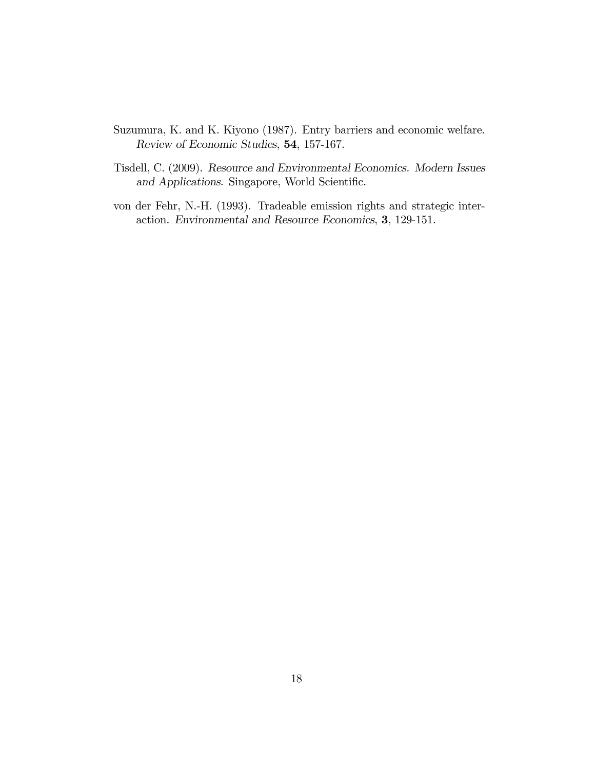- Suzumura, K. and K. Kiyono (1987). Entry barriers and economic welfare. Review of Economic Studies, 54, 157-167.
- Tisdell, C. (2009). Resource and Environmental Economics. Modern Issues and Applications. Singapore, World Scientific.
- von der Fehr, N.-H. (1993). Tradeable emission rights and strategic interaction. Environmental and Resource Economics, 3, 129-151.